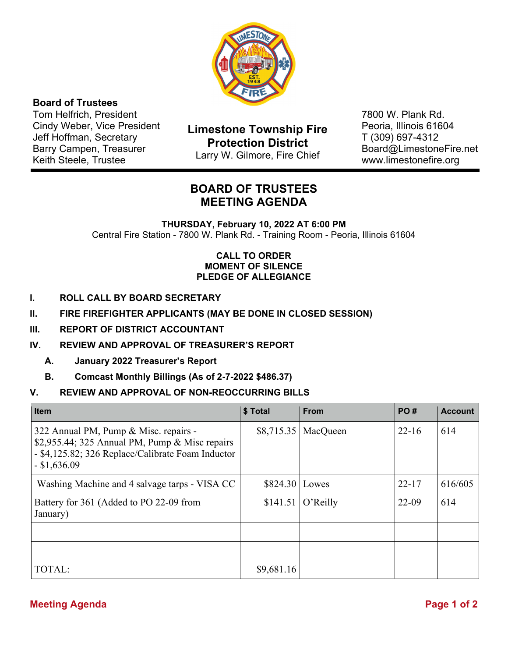

# **Board of Trustees**

Tom Helfrich, President Cindy Weber, Vice President Jeff Hoffman, Secretary Barry Campen, Treasurer Keith Steele, Trustee

**Limestone Township Fire Protection District**  Larry W. Gilmore, Fire Chief

7800 W. Plank Rd. Peoria, Illinois 61604 T (309) 697-4312 Board@LimestoneFire.net www.limestonefire.org

# **BOARD OF TRUSTEES MEETING AGENDA**

**THURSDAY, February 10, 2022 AT 6:00 PM** Central Fire Station - 7800 W. Plank Rd. - Training Room - Peoria, Illinois 61604

#### **CALL TO ORDER MOMENT OF SILENCE PLEDGE OF ALLEGIANCE**

- **I. ROLL CALL BY BOARD SECRETARY**
- **II. FIRE FIREFIGHTER APPLICANTS (MAY BE DONE IN CLOSED SESSION)**
- **III. REPORT OF DISTRICT ACCOUNTANT**
- **IV. REVIEW AND APPROVAL OF TREASURER'S REPORT**
	- **A. January 2022 Treasurer's Report**
	- **B. Comcast Monthly Billings (As of 2-7-2022 \$486.37)**

#### **V. REVIEW AND APPROVAL OF NON-REOCCURRING BILLS**

| <b>Item</b>                                                                                                                                                    | \$ Total   | <b>From</b> | PO#       | <b>Account</b> |
|----------------------------------------------------------------------------------------------------------------------------------------------------------------|------------|-------------|-----------|----------------|
| 322 Annual PM, Pump & Misc. repairs -<br>\$2,955.44; 325 Annual PM, Pump & Misc repairs<br>- \$4,125.82; 326 Replace/Calibrate Foam Inductor<br>$-$ \$1,636.09 | \$8,715.35 | MacQueen    | $22 - 16$ | 614            |
| Washing Machine and 4 salvage tarps - VISA CC                                                                                                                  | \$824.30   | Lowes       | $22 - 17$ | 616/605        |
| Battery for 361 (Added to PO 22-09 from<br>January)                                                                                                            | \$141.51   | O'Relily    | $22-09$   | 614            |
|                                                                                                                                                                |            |             |           |                |
|                                                                                                                                                                |            |             |           |                |
| TOTAL:                                                                                                                                                         | \$9,681.16 |             |           |                |

## **Meeting Agenda** Page 1 of 2